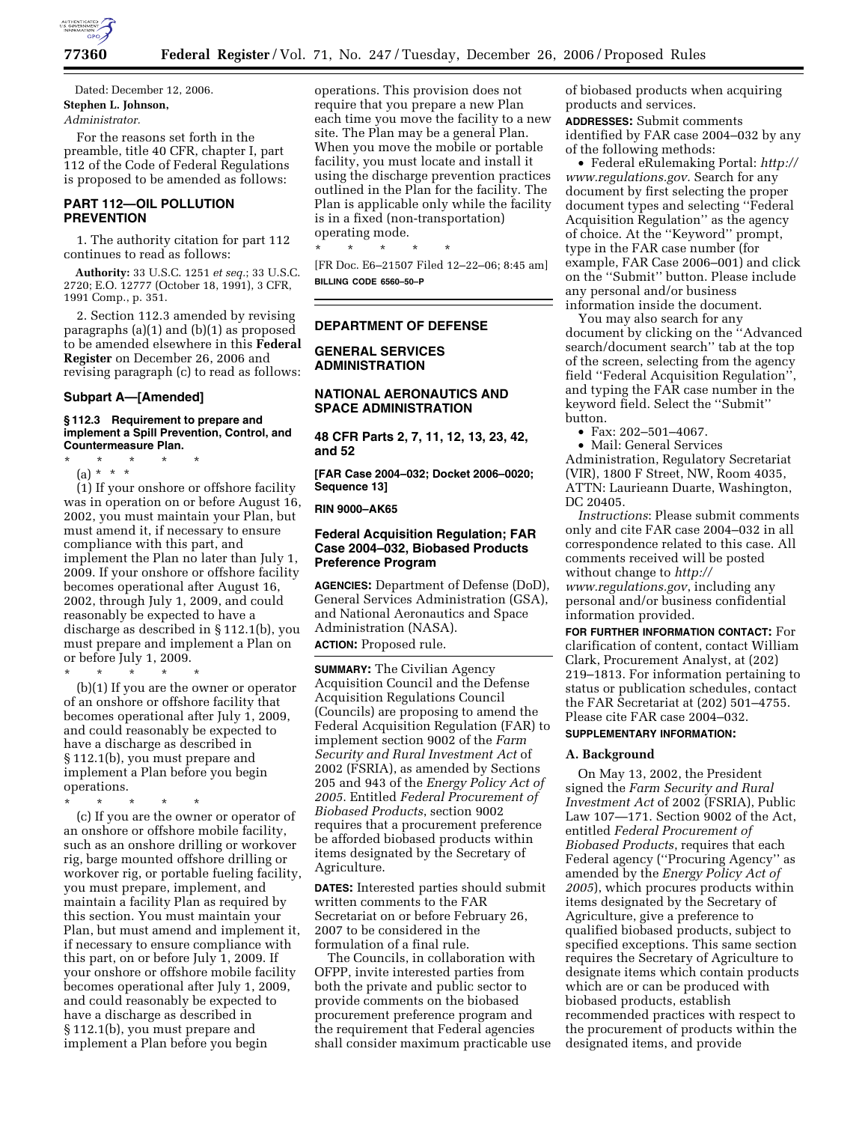

Dated: December 12, 2006. **Stephen L. Johnson,** 

## *Administrator.*

For the reasons set forth in the preamble, title 40 CFR, chapter I, part 112 of the Code of Federal Regulations is proposed to be amended as follows:

## **PART 112—OIL POLLUTION PREVENTION**

1. The authority citation for part 112 continues to read as follows:

**Authority:** 33 U.S.C. 1251 *et seq.*; 33 U.S.C. 2720; E.O. 12777 (October 18, 1991), 3 CFR, 1991 Comp., p. 351.

2. Section 112.3 amended by revising paragraphs (a)(1) and (b)(1) as proposed to be amended elsewhere in this **Federal Register** on December 26, 2006 and revising paragraph (c) to read as follows:

## **Subpart A—[Amended]**

#### **§ 112.3 Requirement to prepare and implement a Spill Prevention, Control, and Countermeasure Plan.**

\* \* \* \* \*

(a) \* \* \*

(1) If your onshore or offshore facility was in operation on or before August 16, 2002, you must maintain your Plan, but must amend it, if necessary to ensure compliance with this part, and implement the Plan no later than July 1, 2009. If your onshore or offshore facility becomes operational after August 16, 2002, through July 1, 2009, and could reasonably be expected to have a discharge as described in § 112.1(b), you must prepare and implement a Plan on or before July 1, 2009.

\* \* \* \* \* (b)(1) If you are the owner or operator of an onshore or offshore facility that becomes operational after July 1, 2009, and could reasonably be expected to have a discharge as described in § 112.1(b), you must prepare and implement a Plan before you begin operations.

\* \* \* \* \*

(c) If you are the owner or operator of an onshore or offshore mobile facility, such as an onshore drilling or workover rig, barge mounted offshore drilling or workover rig, or portable fueling facility, you must prepare, implement, and maintain a facility Plan as required by this section. You must maintain your Plan, but must amend and implement it, if necessary to ensure compliance with this part, on or before July 1, 2009. If your onshore or offshore mobile facility becomes operational after July 1, 2009, and could reasonably be expected to have a discharge as described in § 112.1(b), you must prepare and implement a Plan before you begin

operations. This provision does not require that you prepare a new Plan each time you move the facility to a new site. The Plan may be a general Plan. When you move the mobile or portable facility, you must locate and install it using the discharge prevention practices outlined in the Plan for the facility. The Plan is applicable only while the facility is in a fixed (non-transportation) operating mode.

\* \* \* \* \* [FR Doc. E6–21507 Filed 12–22–06; 8:45 am] **BILLING CODE 6560–50–P** 

## **DEPARTMENT OF DEFENSE**

**GENERAL SERVICES ADMINISTRATION** 

## **NATIONAL AERONAUTICS AND SPACE ADMINISTRATION**

**48 CFR Parts 2, 7, 11, 12, 13, 23, 42, and 52** 

**[FAR Case 2004–032; Docket 2006–0020; Sequence 13]** 

**RIN 9000–AK65** 

## **Federal Acquisition Regulation; FAR Case 2004–032, Biobased Products Preference Program**

**AGENCIES:** Department of Defense (DoD), General Services Administration (GSA), and National Aeronautics and Space Administration (NASA).

**ACTION:** Proposed rule.

**SUMMARY:** The Civilian Agency Acquisition Council and the Defense Acquisition Regulations Council (Councils) are proposing to amend the Federal Acquisition Regulation (FAR) to implement section 9002 of the *Farm Security and Rural Investment Act* of 2002 (FSRIA), as amended by Sections 205 and 943 of the *Energy Policy Act of 2005*. Entitled *Federal Procurement of Biobased Products*, section 9002 requires that a procurement preference be afforded biobased products within items designated by the Secretary of Agriculture.

**DATES:** Interested parties should submit written comments to the FAR Secretariat on or before February 26, 2007 to be considered in the formulation of a final rule.

The Councils, in collaboration with OFPP, invite interested parties from both the private and public sector to provide comments on the biobased procurement preference program and the requirement that Federal agencies shall consider maximum practicable use of biobased products when acquiring products and services.

**ADDRESSES:** Submit comments identified by FAR case 2004–032 by any of the following methods:

• Federal eRulemaking Portal: *http:// www.regulations.gov*. Search for any document by first selecting the proper document types and selecting ''Federal Acquisition Regulation'' as the agency of choice. At the ''Keyword'' prompt, type in the FAR case number (for example, FAR Case 2006–001) and click on the ''Submit'' button. Please include any personal and/or business information inside the document.

You may also search for any document by clicking on the ''Advanced search/document search'' tab at the top of the screen, selecting from the agency field ''Federal Acquisition Regulation'', and typing the FAR case number in the keyword field. Select the ''Submit'' button.

• Fax: 202–501–4067.

• Mail: General Services Administration, Regulatory Secretariat (VIR), 1800 F Street, NW, Room 4035, ATTN: Laurieann Duarte, Washington, DC 20405.

*Instructions*: Please submit comments only and cite FAR case 2004–032 in all correspondence related to this case. All comments received will be posted without change to *http:// www.regulations.gov*, including any personal and/or business confidential information provided.

**FOR FURTHER INFORMATION CONTACT:** For clarification of content, contact William Clark, Procurement Analyst, at (202) 219–1813. For information pertaining to status or publication schedules, contact the FAR Secretariat at (202) 501–4755. Please cite FAR case 2004–032.

## **SUPPLEMENTARY INFORMATION:**

## **A. Background**

On May 13, 2002, the President signed the *Farm Security and Rural Investment Act* of 2002 (FSRIA), Public Law 107—171. Section 9002 of the Act, entitled *Federal Procurement of Biobased Products*, requires that each Federal agency (''Procuring Agency'' as amended by the *Energy Policy Act of 2005*), which procures products within items designated by the Secretary of Agriculture, give a preference to qualified biobased products, subject to specified exceptions. This same section requires the Secretary of Agriculture to designate items which contain products which are or can be produced with biobased products, establish recommended practices with respect to the procurement of products within the designated items, and provide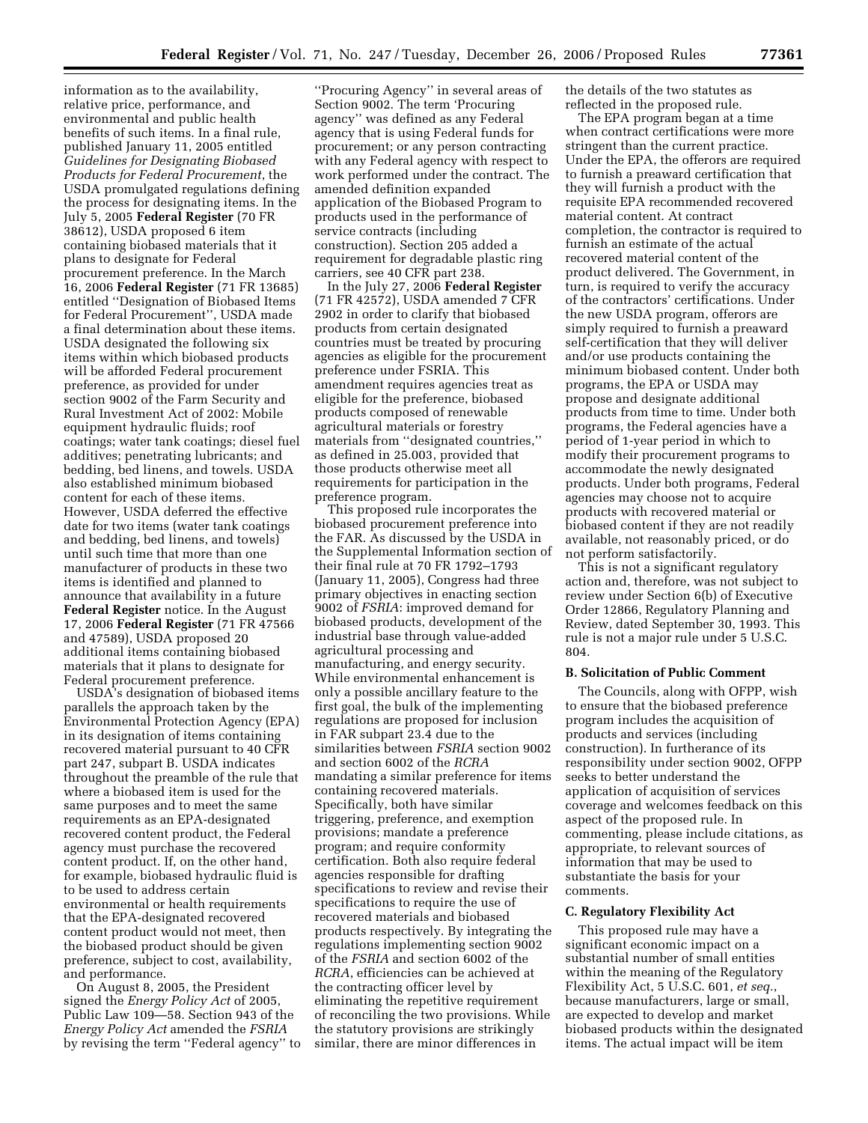information as to the availability, relative price, performance, and environmental and public health benefits of such items. In a final rule, published January 11, 2005 entitled *Guidelines for Designating Biobased Products for Federal Procurement*, the USDA promulgated regulations defining the process for designating items. In the July 5, 2005 **Federal Register** (70 FR 38612), USDA proposed 6 item containing biobased materials that it plans to designate for Federal procurement preference. In the March 16, 2006 **Federal Register** (71 FR 13685) entitled ''Designation of Biobased Items for Federal Procurement'', USDA made a final determination about these items. USDA designated the following six items within which biobased products will be afforded Federal procurement preference, as provided for under section 9002 of the Farm Security and Rural Investment Act of 2002: Mobile equipment hydraulic fluids; roof coatings; water tank coatings; diesel fuel additives; penetrating lubricants; and bedding, bed linens, and towels. USDA also established minimum biobased content for each of these items. However, USDA deferred the effective date for two items (water tank coatings and bedding, bed linens, and towels) until such time that more than one manufacturer of products in these two items is identified and planned to announce that availability in a future **Federal Register** notice. In the August 17, 2006 **Federal Register** (71 FR 47566 and 47589), USDA proposed 20 additional items containing biobased materials that it plans to designate for Federal procurement preference.

USDA's designation of biobased items parallels the approach taken by the Environmental Protection Agency (EPA) in its designation of items containing recovered material pursuant to 40 CFR part 247, subpart B. USDA indicates throughout the preamble of the rule that where a biobased item is used for the same purposes and to meet the same requirements as an EPA-designated recovered content product, the Federal agency must purchase the recovered content product. If, on the other hand, for example, biobased hydraulic fluid is to be used to address certain environmental or health requirements that the EPA-designated recovered content product would not meet, then the biobased product should be given preference, subject to cost, availability, and performance.

On August 8, 2005, the President signed the *Energy Policy Act* of 2005, Public Law 109—58. Section 943 of the *Energy Policy Act* amended the *FSRIA*  by revising the term ''Federal agency'' to

''Procuring Agency'' in several areas of Section 9002. The term 'Procuring agency'' was defined as any Federal agency that is using Federal funds for procurement; or any person contracting with any Federal agency with respect to work performed under the contract. The amended definition expanded application of the Biobased Program to products used in the performance of service contracts (including construction). Section 205 added a requirement for degradable plastic ring carriers, see 40 CFR part 238.

In the July 27, 2006 **Federal Register**  (71 FR 42572), USDA amended 7 CFR 2902 in order to clarify that biobased products from certain designated countries must be treated by procuring agencies as eligible for the procurement preference under FSRIA. This amendment requires agencies treat as eligible for the preference, biobased products composed of renewable agricultural materials or forestry materials from ''designated countries,'' as defined in 25.003, provided that those products otherwise meet all requirements for participation in the preference program.

This proposed rule incorporates the biobased procurement preference into the FAR. As discussed by the USDA in the Supplemental Information section of their final rule at 70 FR 1792–1793 (January 11, 2005), Congress had three primary objectives in enacting section 9002 of *FSRIA*: improved demand for biobased products, development of the industrial base through value-added agricultural processing and manufacturing, and energy security. While environmental enhancement is only a possible ancillary feature to the first goal, the bulk of the implementing regulations are proposed for inclusion in FAR subpart 23.4 due to the similarities between *FSRIA* section 9002 and section 6002 of the *RCRA*  mandating a similar preference for items containing recovered materials. Specifically, both have similar triggering, preference, and exemption provisions; mandate a preference program; and require conformity certification. Both also require federal agencies responsible for drafting specifications to review and revise their specifications to require the use of recovered materials and biobased products respectively. By integrating the regulations implementing section 9002 of the *FSRIA* and section 6002 of the *RCRA*, efficiencies can be achieved at the contracting officer level by eliminating the repetitive requirement of reconciling the two provisions. While the statutory provisions are strikingly similar, there are minor differences in

the details of the two statutes as reflected in the proposed rule.

The EPA program began at a time when contract certifications were more stringent than the current practice. Under the EPA, the offerors are required to furnish a preaward certification that they will furnish a product with the requisite EPA recommended recovered material content. At contract completion, the contractor is required to furnish an estimate of the actual recovered material content of the product delivered. The Government, in turn, is required to verify the accuracy of the contractors' certifications. Under the new USDA program, offerors are simply required to furnish a preaward self-certification that they will deliver and/or use products containing the minimum biobased content. Under both programs, the EPA or USDA may propose and designate additional products from time to time. Under both programs, the Federal agencies have a period of 1-year period in which to modify their procurement programs to accommodate the newly designated products. Under both programs, Federal agencies may choose not to acquire products with recovered material or biobased content if they are not readily available, not reasonably priced, or do not perform satisfactorily.

This is not a significant regulatory action and, therefore, was not subject to review under Section 6(b) of Executive Order 12866, Regulatory Planning and Review, dated September 30, 1993. This rule is not a major rule under 5 U.S.C. 804.

### **B. Solicitation of Public Comment**

The Councils, along with OFPP, wish to ensure that the biobased preference program includes the acquisition of products and services (including construction). In furtherance of its responsibility under section 9002, OFPP seeks to better understand the application of acquisition of services coverage and welcomes feedback on this aspect of the proposed rule. In commenting, please include citations, as appropriate, to relevant sources of information that may be used to substantiate the basis for your comments.

## **C. Regulatory Flexibility Act**

This proposed rule may have a significant economic impact on a substantial number of small entities within the meaning of the Regulatory Flexibility Act, 5 U.S.C. 601, *et seq.*, because manufacturers, large or small, are expected to develop and market biobased products within the designated items. The actual impact will be item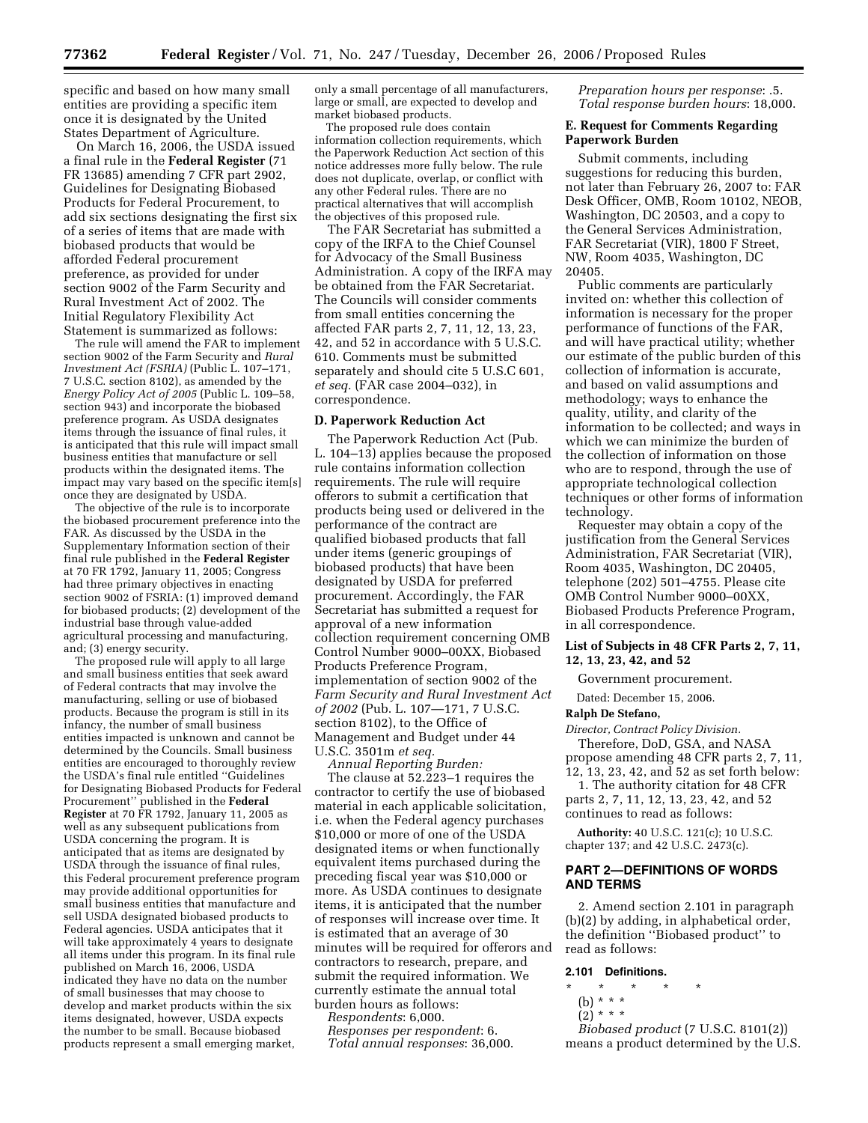specific and based on how many small entities are providing a specific item once it is designated by the United States Department of Agriculture.

On March 16, 2006, the USDA issued a final rule in the **Federal Register** (71 FR 13685) amending 7 CFR part 2902, Guidelines for Designating Biobased Products for Federal Procurement, to add six sections designating the first six of a series of items that are made with biobased products that would be afforded Federal procurement preference, as provided for under section 9002 of the Farm Security and Rural Investment Act of 2002. The Initial Regulatory Flexibility Act Statement is summarized as follows:

The rule will amend the FAR to implement section 9002 of the Farm Security and *Rural Investment Act (FSRIA)* (Public L. 107–171, 7 U.S.C. section 8102), as amended by the *Energy Policy Act of 2005* (Public L. 109–58, section 943) and incorporate the biobased preference program. As USDA designates items through the issuance of final rules, it is anticipated that this rule will impact small business entities that manufacture or sell products within the designated items. The impact may vary based on the specific item[s] once they are designated by USDA.

The objective of the rule is to incorporate the biobased procurement preference into the FAR. As discussed by the USDA in the Supplementary Information section of their final rule published in the **Federal Register**  at 70 FR 1792, January 11, 2005; Congress had three primary objectives in enacting section 9002 of FSRIA: (1) improved demand for biobased products; (2) development of the industrial base through value-added agricultural processing and manufacturing, and; (3) energy security.

The proposed rule will apply to all large and small business entities that seek award of Federal contracts that may involve the manufacturing, selling or use of biobased products. Because the program is still in its infancy, the number of small business entities impacted is unknown and cannot be determined by the Councils. Small business entities are encouraged to thoroughly review the USDA's final rule entitled ''Guidelines for Designating Biobased Products for Federal Procurement'' published in the **Federal Register** at 70 FR 1792, January 11, 2005 as well as any subsequent publications from USDA concerning the program. It is anticipated that as items are designated by USDA through the issuance of final rules, this Federal procurement preference program may provide additional opportunities for small business entities that manufacture and sell USDA designated biobased products to Federal agencies. USDA anticipates that it will take approximately 4 years to designate all items under this program. In its final rule published on March 16, 2006, USDA indicated they have no data on the number of small businesses that may choose to develop and market products within the six items designated, however, USDA expects the number to be small. Because biobased products represent a small emerging market,

only a small percentage of all manufacturers, large or small, are expected to develop and market biobased products.

The proposed rule does contain information collection requirements, which the Paperwork Reduction Act section of this notice addresses more fully below. The rule does not duplicate, overlap, or conflict with any other Federal rules. There are no practical alternatives that will accomplish the objectives of this proposed rule.

The FAR Secretariat has submitted a copy of the IRFA to the Chief Counsel for Advocacy of the Small Business Administration. A copy of the IRFA may be obtained from the FAR Secretariat. The Councils will consider comments from small entities concerning the affected FAR parts 2, 7, 11, 12, 13, 23, 42, and 52 in accordance with 5 U.S.C. 610. Comments must be submitted separately and should cite 5 U.S.C 601, *et seq.* (FAR case 2004–032), in correspondence.

#### **D. Paperwork Reduction Act**

The Paperwork Reduction Act (Pub. L. 104–13) applies because the proposed rule contains information collection requirements. The rule will require offerors to submit a certification that products being used or delivered in the performance of the contract are qualified biobased products that fall under items (generic groupings of biobased products) that have been designated by USDA for preferred procurement. Accordingly, the FAR Secretariat has submitted a request for approval of a new information collection requirement concerning OMB Control Number 9000–00XX, Biobased Products Preference Program, implementation of section 9002 of the *Farm Security and Rural Investment Act of 2002* (Pub. L. 107—171, 7 U.S.C. section 8102), to the Office of Management and Budget under 44 U.S.C. 3501m *et seq.* 

*Annual Reporting Burden:*  The clause at 52.223–1 requires the contractor to certify the use of biobased material in each applicable solicitation, i.e. when the Federal agency purchases \$10,000 or more of one of the USDA designated items or when functionally equivalent items purchased during the preceding fiscal year was \$10,000 or more. As USDA continues to designate items, it is anticipated that the number of responses will increase over time. It is estimated that an average of 30 minutes will be required for offerors and contractors to research, prepare, and submit the required information. We currently estimate the annual total burden hours as follows:

*Respondents*: 6,000.

*Responses per respondent*: 6. *Total annual responses*: 36,000. *Preparation hours per response*: .5. *Total response burden hours*: 18,000.

### **E. Request for Comments Regarding Paperwork Burden**

Submit comments, including suggestions for reducing this burden, not later than February 26, 2007 to: FAR Desk Officer, OMB, Room 10102, NEOB, Washington, DC 20503, and a copy to the General Services Administration, FAR Secretariat (VIR), 1800 F Street, NW, Room 4035, Washington, DC 20405.

Public comments are particularly invited on: whether this collection of information is necessary for the proper performance of functions of the FAR, and will have practical utility; whether our estimate of the public burden of this collection of information is accurate, and based on valid assumptions and methodology; ways to enhance the quality, utility, and clarity of the information to be collected; and ways in which we can minimize the burden of the collection of information on those who are to respond, through the use of appropriate technological collection techniques or other forms of information technology.

Requester may obtain a copy of the justification from the General Services Administration, FAR Secretariat (VIR), Room 4035, Washington, DC 20405, telephone (202) 501–4755. Please cite OMB Control Number 9000–00XX, Biobased Products Preference Program, in all correspondence.

## **List of Subjects in 48 CFR Parts 2, 7, 11, 12, 13, 23, 42, and 52**

Government procurement.

Dated: December 15, 2006.

#### **Ralph De Stefano,**

*Director, Contract Policy Division.*  Therefore, DoD, GSA, and NASA propose amending 48 CFR parts 2, 7, 11,

12, 13, 23, 42, and 52 as set forth below: 1. The authority citation for 48 CFR

parts 2, 7, 11, 12, 13, 23, 42, and 52 continues to read as follows:

**Authority:** 40 U.S.C. 121(c); 10 U.S.C. chapter 137; and 42 U.S.C. 2473(c).

### **PART 2—DEFINITIONS OF WORDS AND TERMS**

2. Amend section 2.101 in paragraph (b)(2) by adding, in alphabetical order, the definition ''Biobased product'' to read as follows:

### **2.101 Definitions.**

- \* \* \* \* \* (b) \* \* \*
	- $(2)^{***}$

*Biobased product* (7 U.S.C. 8101(2)) means a product determined by the U.S.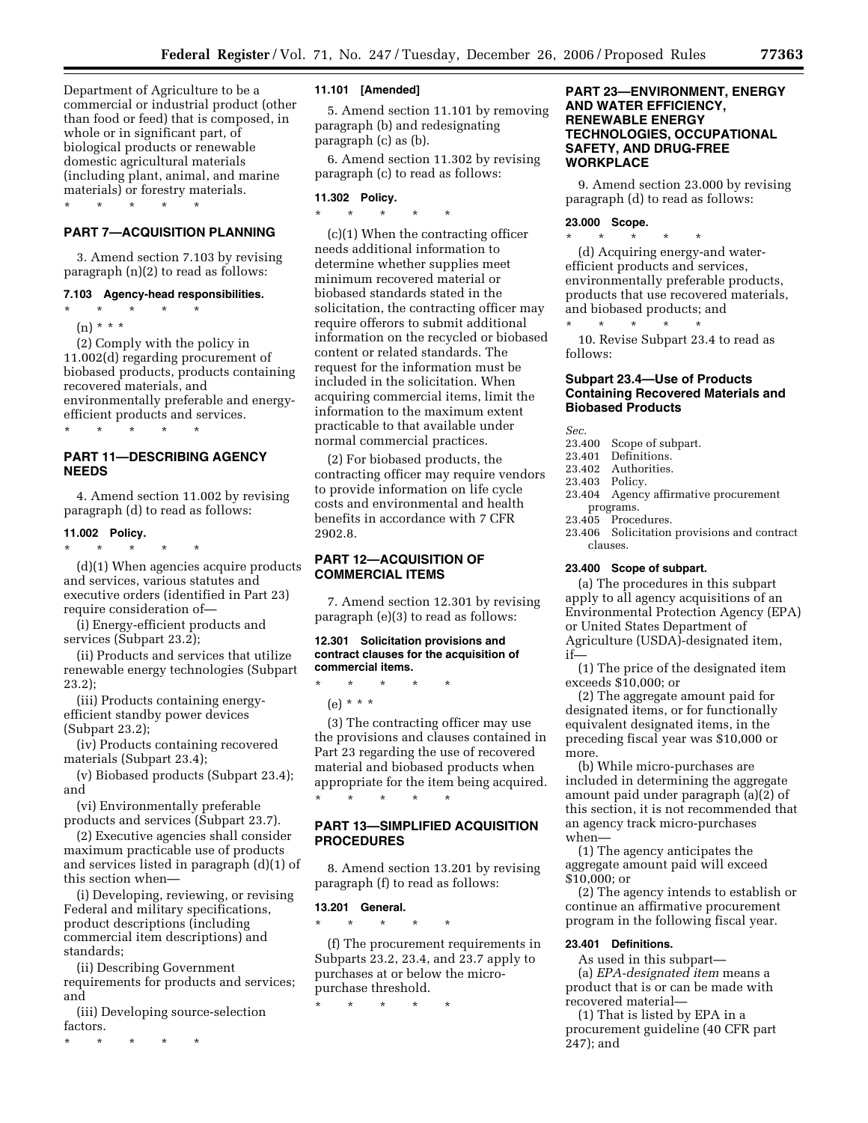Department of Agriculture to be a commercial or industrial product (other than food or feed) that is composed, in whole or in significant part, of biological products or renewable domestic agricultural materials (including plant, animal, and marine materials) or forestry materials. \* \* \* \* \*

## **PART 7—ACQUISITION PLANNING**

3. Amend section 7.103 by revising paragraph (n)(2) to read as follows:

### **7.103 Agency-head responsibilities.**

- \* \* \* \* \*
	- (n) \* \* \* \*  $\overline{\phantom{a}}$

(2) Comply with the policy in 11.002(d) regarding procurement of biobased products, products containing recovered materials, and environmentally preferable and energyefficient products and services.  $\star$   $\star$   $\star$ 

**PART 11—DESCRIBING AGENCY NEEDS** 

4. Amend section 11.002 by revising paragraph (d) to read as follows:

#### **11.002 Policy.**

\* \* \* \* \* (d)(1) When agencies acquire products and services, various statutes and executive orders (identified in Part 23)

require consideration of— (i) Energy-efficient products and

services (Subpart 23.2); (ii) Products and services that utilize

renewable energy technologies (Subpart 23.2);

(iii) Products containing energyefficient standby power devices (Subpart 23.2);

(iv) Products containing recovered materials (Subpart 23.4);

(v) Biobased products (Subpart 23.4); and

(vi) Environmentally preferable products and services (Subpart 23.7).

(2) Executive agencies shall consider maximum practicable use of products and services listed in paragraph (d)(1) of this section when—

(i) Developing, reviewing, or revising Federal and military specifications, product descriptions (including commercial item descriptions) and standards;

(ii) Describing Government requirements for products and services; and

(iii) Developing source-selection factors.

\* \* \* \* \*

#### **11.101 [Amended]**

5. Amend section 11.101 by removing paragraph (b) and redesignating paragraph (c) as (b).

6. Amend section 11.302 by revising paragraph (c) to read as follows:

## **11.302 Policy.**

\* \* \* \* \*

(c)(1) When the contracting officer needs additional information to determine whether supplies meet minimum recovered material or biobased standards stated in the solicitation, the contracting officer may require offerors to submit additional information on the recycled or biobased content or related standards. The request for the information must be included in the solicitation. When acquiring commercial items, limit the information to the maximum extent practicable to that available under normal commercial practices.

(2) For biobased products, the contracting officer may require vendors to provide information on life cycle costs and environmental and health benefits in accordance with 7 CFR 2902.8.

## **PART 12—ACQUISITION OF COMMERCIAL ITEMS**

7. Amend section 12.301 by revising paragraph (e)(3) to read as follows:

## **12.301 Solicitation provisions and contract clauses for the acquisition of commercial items.**

\* \* \* \* \*

(e) \* \* \*

(3) The contracting officer may use the provisions and clauses contained in Part 23 regarding the use of recovered material and biobased products when appropriate for the item being acquired. \* \* \* \* \*

## **PART 13—SIMPLIFIED ACQUISITION PROCEDURES**

8. Amend section 13.201 by revising paragraph (f) to read as follows:

#### **13.201 General.**

\* \* \* \* \*

(f) The procurement requirements in Subparts 23.2, 23.4, and 23.7 apply to purchases at or below the micropurchase threshold.

\* \* \* \* \*

## **PART 23—ENVIRONMENT, ENERGY AND WATER EFFICIENCY, RENEWABLE ENERGY TECHNOLOGIES, OCCUPATIONAL SAFETY, AND DRUG-FREE WORKPLACE**

9. Amend section 23.000 by revising paragraph (d) to read as follows:

#### **23.000 Scope.**

(d) Acquiring energy-and waterefficient products and services, environmentally preferable products, products that use recovered materials, and biobased products; and \* \* \* \* \*

\* \* \* \* \*

10. Revise Subpart 23.4 to read as follows:

## **Subpart 23.4—Use of Products Containing Recovered Materials and Biobased Products**

*Sec.* 

- 23.400 Scope of subpart.
- 23.401 Definitions.
- 23.402 Authorities.
- 23.403 Policy.
- 23.404 Agency affirmative procurement programs.
- 23.405 Procedures.
- 23.406 Solicitation provisions and contract clauses.

#### **23.400 Scope of subpart.**

(a) The procedures in this subpart apply to all agency acquisitions of an Environmental Protection Agency (EPA) or United States Department of Agriculture (USDA)-designated item, if—

(1) The price of the designated item exceeds \$10,000; or

(2) The aggregate amount paid for designated items, or for functionally equivalent designated items, in the preceding fiscal year was \$10,000 or more.

(b) While micro-purchases are included in determining the aggregate amount paid under paragraph (a)(2) of this section, it is not recommended that an agency track micro-purchases when—

(1) The agency anticipates the aggregate amount paid will exceed \$10,000; or

(2) The agency intends to establish or continue an affirmative procurement program in the following fiscal year.

## **23.401 Definitions.**

As used in this subpart— (a) *EPA-designated item* means a product that is or can be made with recovered material—

(1) That is listed by EPA in a procurement guideline (40 CFR part 247); and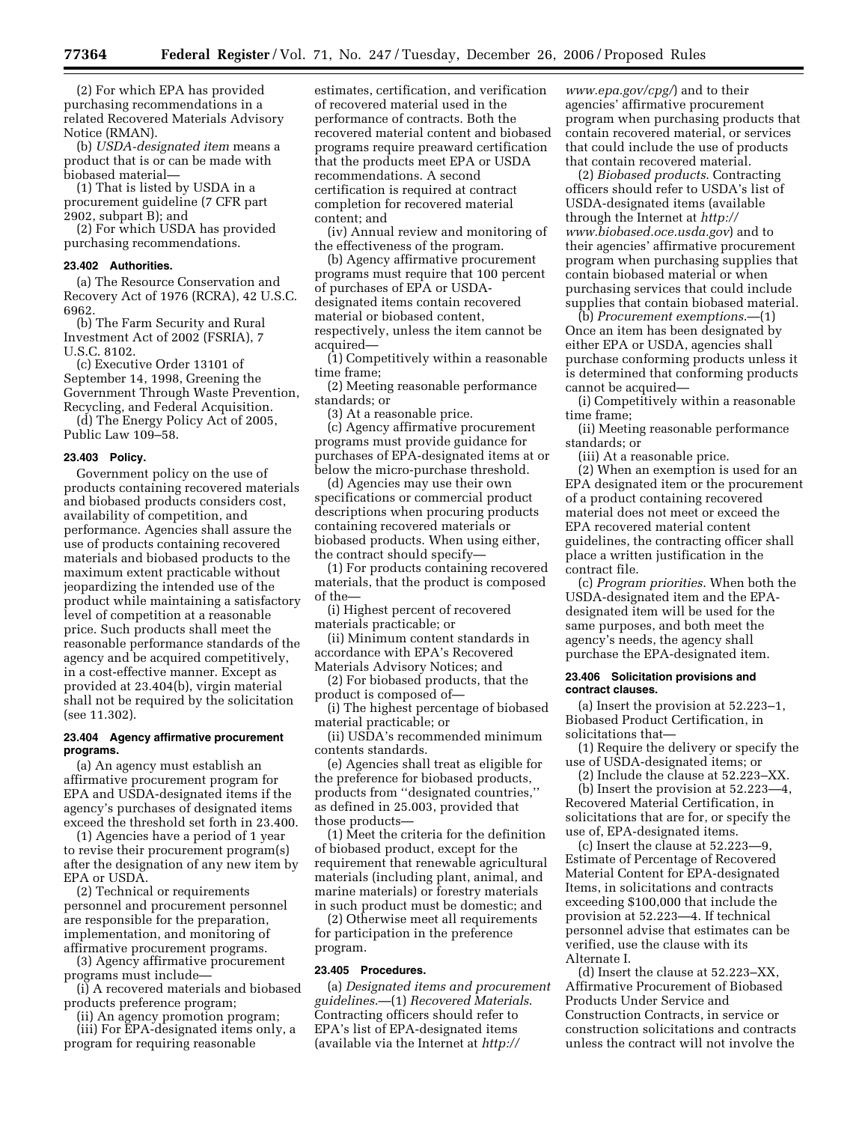(2) For which EPA has provided purchasing recommendations in a related Recovered Materials Advisory Notice (RMAN).

(b) *USDA-designated item* means a product that is or can be made with biobased material—

(1) That is listed by USDA in a procurement guideline (7 CFR part 2902, subpart B); and

(2) For which USDA has provided purchasing recommendations.

### **23.402 Authorities.**

(a) The Resource Conservation and Recovery Act of 1976 (RCRA), 42 U.S.C. 6962.

(b) The Farm Security and Rural Investment Act of 2002 (FSRIA), 7 U.S.C. 8102.

(c) Executive Order 13101 of September 14, 1998, Greening the Government Through Waste Prevention, Recycling, and Federal Acquisition.

(d) The Energy Policy Act of 2005, Public Law 109–58.

#### **23.403 Policy.**

Government policy on the use of products containing recovered materials and biobased products considers cost, availability of competition, and performance. Agencies shall assure the use of products containing recovered materials and biobased products to the maximum extent practicable without jeopardizing the intended use of the product while maintaining a satisfactory level of competition at a reasonable price. Such products shall meet the reasonable performance standards of the agency and be acquired competitively, in a cost-effective manner. Except as provided at 23.404(b), virgin material shall not be required by the solicitation (see 11.302).

## **23.404 Agency affirmative procurement programs.**

(a) An agency must establish an affirmative procurement program for EPA and USDA-designated items if the agency's purchases of designated items exceed the threshold set forth in 23.400.

(1) Agencies have a period of 1 year to revise their procurement program(s) after the designation of any new item by EPA or USDA.

(2) Technical or requirements personnel and procurement personnel are responsible for the preparation, implementation, and monitoring of affirmative procurement programs.

(3) Agency affirmative procurement programs must include—

(i) A recovered materials and biobased products preference program;

(ii) An agency promotion program; (iii) For EPA-designated items only, a program for requiring reasonable

estimates, certification, and verification of recovered material used in the performance of contracts. Both the recovered material content and biobased programs require preaward certification that the products meet EPA or USDA recommendations. A second certification is required at contract completion for recovered material content; and

(iv) Annual review and monitoring of the effectiveness of the program.

(b) Agency affirmative procurement programs must require that 100 percent of purchases of EPA or USDAdesignated items contain recovered material or biobased content, respectively, unless the item cannot be acquired—

(1) Competitively within a reasonable time frame;

(2) Meeting reasonable performance standards; or

(3) At a reasonable price.

(c) Agency affirmative procurement programs must provide guidance for purchases of EPA-designated items at or below the micro-purchase threshold.

(d) Agencies may use their own specifications or commercial product descriptions when procuring products containing recovered materials or biobased products. When using either, the contract should specify—

(1) For products containing recovered materials, that the product is composed of the—

(i) Highest percent of recovered materials practicable; or

(ii) Minimum content standards in accordance with EPA's Recovered Materials Advisory Notices; and

(2) For biobased products, that the product is composed of—

(i) The highest percentage of biobased material practicable; or

(ii) USDA's recommended minimum contents standards.

(e) Agencies shall treat as eligible for the preference for biobased products, products from ''designated countries,'' as defined in 25.003, provided that those products—

(1) Meet the criteria for the definition of biobased product, except for the requirement that renewable agricultural materials (including plant, animal, and marine materials) or forestry materials in such product must be domestic; and

(2) Otherwise meet all requirements for participation in the preference program.

#### **23.405 Procedures.**

(a) *Designated items and procurement guidelines*.—(1) *Recovered Materials*. Contracting officers should refer to EPA's list of EPA-designated items (available via the Internet at *http://* 

*www.epa.gov/cpg/*) and to their agencies' affirmative procurement program when purchasing products that contain recovered material, or services that could include the use of products that contain recovered material.

(2) *Biobased products*. Contracting officers should refer to USDA's list of USDA-designated items (available through the Internet at *http:// www.biobased.oce.usda.gov*) and to their agencies' affirmative procurement program when purchasing supplies that contain biobased material or when purchasing services that could include supplies that contain biobased material.

(b) *Procurement exemptions*.—(1) Once an item has been designated by either EPA or USDA, agencies shall purchase conforming products unless it is determined that conforming products cannot be acquired—

(i) Competitively within a reasonable time frame;

(ii) Meeting reasonable performance standards; or

(iii) At a reasonable price.

(2) When an exemption is used for an EPA designated item or the procurement of a product containing recovered material does not meet or exceed the EPA recovered material content guidelines, the contracting officer shall place a written justification in the contract file.

(c) *Program priorities*. When both the USDA-designated item and the EPAdesignated item will be used for the same purposes, and both meet the agency's needs, the agency shall purchase the EPA-designated item.

#### **23.406 Solicitation provisions and contract clauses.**

(a) Insert the provision at 52.223–1, Biobased Product Certification, in solicitations that—

(1) Require the delivery or specify the use of USDA-designated items; or

(2) Include the clause at 52.223–XX.

(b) Insert the provision at 52.223—4, Recovered Material Certification, in solicitations that are for, or specify the use of, EPA-designated items.

(c) Insert the clause at 52.223—9, Estimate of Percentage of Recovered Material Content for EPA-designated Items, in solicitations and contracts exceeding \$100,000 that include the provision at 52.223—4. If technical personnel advise that estimates can be verified, use the clause with its Alternate I.

(d) Insert the clause at 52.223–XX, Affirmative Procurement of Biobased Products Under Service and Construction Contracts, in service or construction solicitations and contracts unless the contract will not involve the